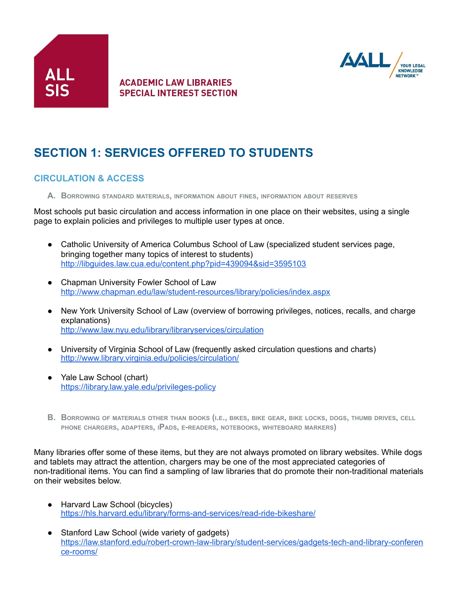



# **SECTION 1: SERVICES OFFERED TO STUDENTS**

#### **CIRCULATION & ACCESS**

**A. BORROWING STANDARD MATERIALS, INFORMATION ABOUT FINES, INFORMATION ABOUT RESERVES**

Most schools put basic circulation and access information in one place on their websites, using a single page to explain policies and privileges to multiple user types at once.

- Catholic University of America Columbus School of Law (specialized student services page, bringing together many topics of interest to students) <http://libguides.law.cua.edu/content.php?pid=439094&sid=3595103>
- Chapman University Fowler School of Law <http://www.chapman.edu/law/student-resources/library/policies/index.aspx>
- New York University School of Law (overview of borrowing privileges, notices, recalls, and charge explanations) <http://www.law.nyu.edu/library/libraryservices/circulation>
- University of Virginia School of Law (frequently asked circulation questions and charts) <http://www.library.virginia.edu/policies/circulation/>
- Yale Law School (chart) <https://library.law.yale.edu/privileges-policy>
- B. BORROWING OF MATERIALS OTHER THAN BOOKS (I.E., BIKES, BIKE GEAR, BIKE LOCKS, DOGS, THUMB DRIVES, CELL **PHONE CHARGERS, ADAPTERS, <sup>I</sup>PADS, <sup>E</sup>-READERS, NOTEBOOKS, WHITEBOARD MARKERS)**

Many libraries offer some of these items, but they are not always promoted on library websites. While dogs and tablets may attract the attention, chargers may be one of the most appreciated categories of non-traditional items. You can find a sampling of law libraries that do promote their non-traditional materials on their websites below.

- Harvard Law School (bicycles) <https://hls.harvard.edu/library/forms-and-services/read-ride-bikeshare/>
- Stanford Law School (wide variety of gadgets) [https://law.stanford.edu/robert-crown-law-library/student-services/gadgets-tech-and-library-conferen](https://law.stanford.edu/robert-crown-law-library/student-services/gadgets-tech-and-library-conference-rooms/) [ce-rooms/](https://law.stanford.edu/robert-crown-law-library/student-services/gadgets-tech-and-library-conference-rooms/)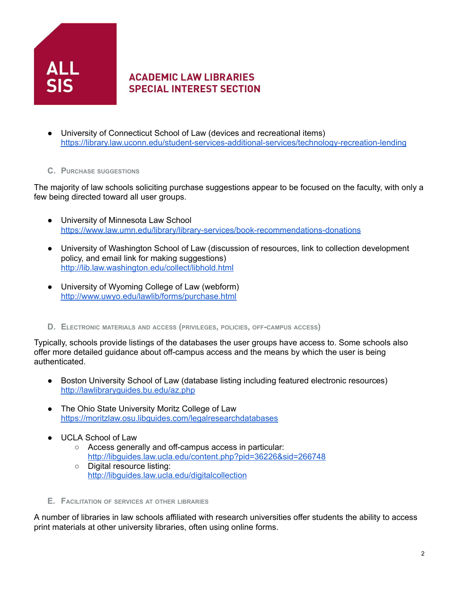

- University of Connecticut School of Law (devices and recreational items) <https://library.law.uconn.edu/student-services-additional-services/technology-recreation-lending>
- **C. PURCHASE SUGGESTIONS**

The majority of law schools soliciting purchase suggestions appear to be focused on the faculty, with only a few being directed toward all user groups.

- University of Minnesota Law School <https://www.law.umn.edu/library/library-services/book-recommendations-donations>
- University of Washington School of Law (discussion of resources, link to collection development policy, and email link for making suggestions) [http://lib.law.washington.edu/collect/libhold.htm](http://lib.law.washington.edu/collect/libhold.html)l
- University of Wyoming College of Law (webform) <http://www.uwyo.edu/lawlib/forms/purchase.html>
- **D. ELECTRONIC MATERIALS AND ACCESS (PRIVILEGES, POLICIES, OFF-CAMPUS ACCESS)**

Typically, schools provide listings of the databases the user groups have access to. Some schools also offer more detailed guidance about off-campus access and the means by which the user is being authenticated.

- Boston University School of Law (database listing including featured electronic resources) <http://lawlibraryguides.bu.edu/az.php>
- The Ohio State University Moritz College of Law <https://moritzlaw.osu.libguides.com/legalresearchdatabases>
- UCLA School of Law
	- Access generally and off-campus access in particular: <http://libguides.law.ucla.edu/content.php?pid=36226&sid=266748>
	- Digital resource listing: <http://libguides.law.ucla.edu/digitalcollection>
- **E. FACILITATION OF SERVICES AT OTHER LIBRARIES**

A number of libraries in law schools affiliated with research universities offer students the ability to access print materials at other university libraries, often using online forms.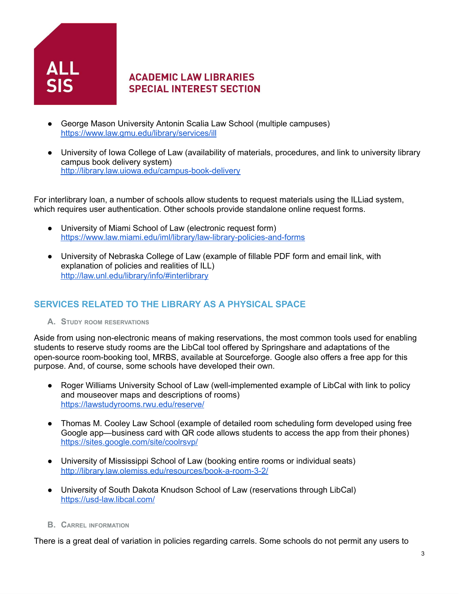

- George Mason University Antonin Scalia Law School (multiple campuses) <https://www.law.gmu.edu/library/services/ill>
- University of Iowa College of Law (availability of materials, procedures, and link to university library campus book delivery system) <http://library.law.uiowa.edu/campus-book-delivery>

For interlibrary loan, a number of schools allow students to request materials using the ILLiad system, which requires user authentication. Other schools provide standalone online request forms.

- University of Miami School of Law (electronic request form) <https://www.law.miami.edu/iml/library/law-library-policies-and-forms>
- University of Nebraska College of Law (example of fillable PDF form and email link, with explanation of policies and realities of ILL) <http://law.unl.edu/library/info/#interlibrary>

# **SERVICES RELATED TO THE LIBRARY AS A PHYSICAL SPACE**

**A. STUDY ROOM RESERVATIONS**

Aside from using non-electronic means of making reservations, the most common tools used for enabling students to reserve study rooms are the LibCal tool offered by Springshare and adaptations of the open-source room-booking tool, MRBS, available at Sourceforge. Google also offers a free app for this purpose. And, of course, some schools have developed their own.

- Roger Williams University School of Law (well-implemented example of LibCal with link to policy and mouseover maps and descriptions of rooms) <https://lawstudyrooms.rwu.edu/reserve/>
- Thomas M. Cooley Law School (example of detailed room scheduling form developed using free Google app—business card with QR code allows students to access the app from their phones) <https://sites.google.com/site/coolrsvp/>
- University of Mississippi School of Law (booking entire rooms or individual seats) <http://library.law.olemiss.edu/resources/book-a-room-3-2/>
- University of South Dakota Knudson School of Law (reservations through LibCal) <https://usd-law.libcal.com/>
- **B. CARREL INFORMATION**

There is a great deal of variation in policies regarding carrels. Some schools do not permit any users to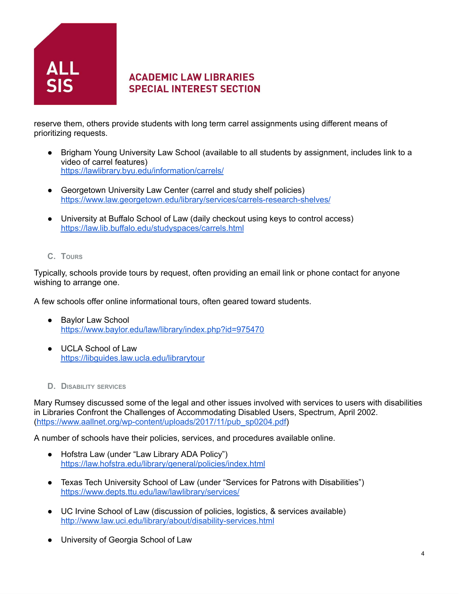

reserve them, others provide students with long term carrel assignments using different means of prioritizing requests.

- Brigham Young University Law School (available to all students by assignment, includes link to a video of carrel features) <https://lawlibrary.byu.edu/information/carrels/>
- Georgetown University Law Center (carrel and study shelf policies) <https://www.law.georgetown.edu/library/services/carrels-research-shelves/>
- University at Buffalo School of Law (daily checkout using keys to control access) <https://law.lib.buffalo.edu/studyspaces/carrels.html>
- **C. TOURS**

Typically, schools provide tours by request, often providing an email link or phone contact for anyone wishing to arrange one.

A few schools offer online informational tours, often geared toward students.

- Baylor Law School <https://www.baylor.edu/law/library/index.php?id=975470>
- UCLA School of Law <https://libguides.law.ucla.edu/librarytour>
- **D. DISABILITY SERVICES**

Mary Rumsey discussed some of the legal and other issues involved with services to users with disabilities in Libraries Confront the Challenges of Accommodating Disabled Users, Spectrum, April 2002. [\(https://www.aallnet.org/wp-content/uploads/2017/11/pub\\_sp0204.pdf\)](https://www.aallnet.org/wp-content/uploads/2017/11/pub_sp0204.pdf)

A number of schools have their policies, services, and procedures available online.

- Hofstra Law (under "Law Library ADA Policy") <https://law.hofstra.edu/library/general/policies/index.html>
- Texas Tech University School of Law (under "Services for Patrons with Disabilities") <https://www.depts.ttu.edu/law/lawlibrary/services/>
- UC Irvine School of Law (discussion of policies, logistics, & services available) <http://www.law.uci.edu/library/about/disability-services.html>
- University of Georgia School of Law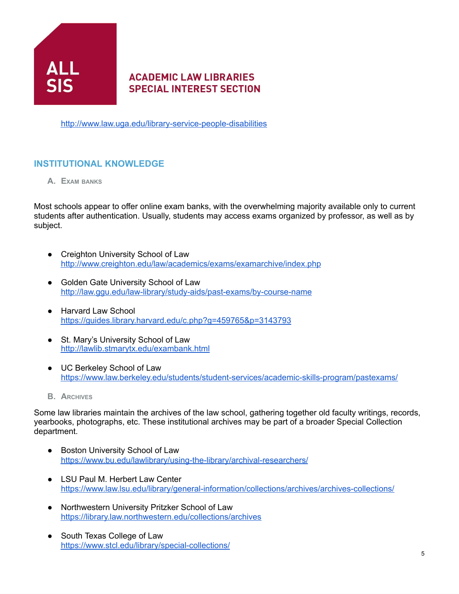

<http://www.law.uga.edu/library-service-people-disabilities>

#### **INSTITUTIONAL KNOWLEDGE**

**A. EXAM BANKS**

Most schools appear to offer online exam banks, with the overwhelming majority available only to current students after authentication. Usually, students may access exams organized by professor, as well as by subject.

- Creighton University School of Law <http://www.creighton.edu/law/academics/exams/examarchive/index.php>
- Golden Gate University School of Law <http://law.ggu.edu/law-library/study-aids/past-exams/by-course-name>
- Harvard Law School <https://guides.library.harvard.edu/c.php?g=459765&p=3143793>
- St. Mary's University School of Law <http://lawlib.stmarytx.edu/exambank.html>
- UC Berkeley School of Law <https://www.law.berkeley.edu/students/student-services/academic-skills-program/pastexams/>
- **B. ARCHIVES**

Some law libraries maintain the archives of the law school, gathering together old faculty writings, records, yearbooks, photographs, etc. These institutional archives may be part of a broader Special Collection department.

- Boston University School of Law <https://www.bu.edu/lawlibrary/using-the-library/archival-researchers/>
- LSU Paul M. Herbert Law Center <https://www.law.lsu.edu/library/general-information/collections/archives/archives-collections/>
- Northwestern University Pritzker School of Law <https://library.law.northwestern.edu/collections/archives>
- South Texas College of Law <https://www.stcl.edu/library/special-collections/>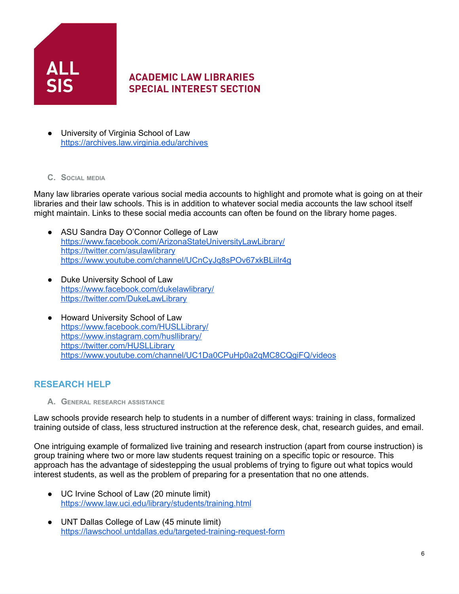

- University of Virginia School of Law <https://archives.law.virginia.edu/archives>
- **C. SOCIAL MEDIA**

Many law libraries operate various social media accounts to highlight and promote what is going on at their libraries and their law schools. This is in addition to whatever social media accounts the law school itself might maintain. Links to these social media accounts can often be found on the library home pages.

- ASU Sandra Day O'Connor College of Law <https://www.facebook.com/ArizonaStateUniversityLawLibrary/> <https://twitter.com/asulawlibrary> <https://www.youtube.com/channel/UCnCyJq8sPOv67xkBLiiIr4g>
- Duke University School of Law <https://www.facebook.com/dukelawlibrary/> <https://twitter.com/DukeLawLibrary>
- Howard University School of Law <https://www.facebook.com/HUSLLibrary/> <https://www.instagram.com/husllibrary/> <https://twitter.com/HUSLLibrary> <https://www.youtube.com/channel/UC1Da0CPuHp0a2qMC8CQgiFQ/videos>

#### **RESEARCH HELP**

**A. GENERAL RESEARCH ASSISTANCE**

Law schools provide research help to students in a number of different ways: training in class, formalized training outside of class, less structured instruction at the reference desk, chat, research guides, and email.

One intriguing example of formalized live training and research instruction (apart from course instruction) is group training where two or more law students request training on a specific topic or resource. This approach has the advantage of sidestepping the usual problems of trying to figure out what topics would interest students, as well as the problem of preparing for a presentation that no one attends.

- UC Irvine School of Law (20 minute limit) <https://www.law.uci.edu/library/students/training.html>
- UNT Dallas College of Law (45 minute limit) <https://lawschool.untdallas.edu/targeted-training-request-form>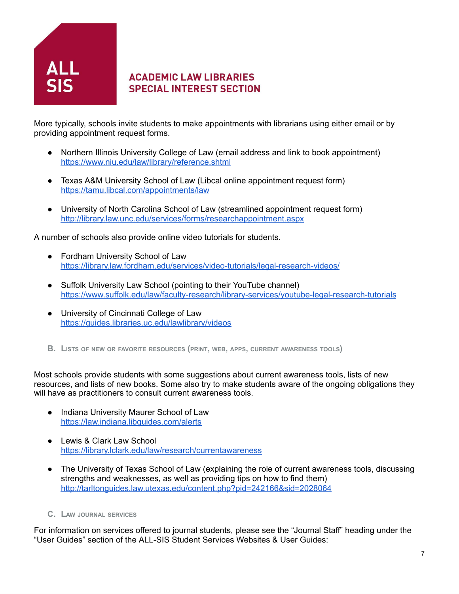

More typically, schools invite students to make appointments with librarians using either email or by providing appointment request forms.

- Northern Illinois University College of Law (email address and link to book appointment) <https://www.niu.edu/law/library/reference.shtml>
- Texas A&M University School of Law (Libcal online appointment request form) <https://tamu.libcal.com/appointments/law>
- University of North Carolina School of Law (streamlined appointment request form) <http://library.law.unc.edu/services/forms/researchappointment.aspx>

A number of schools also provide online video tutorials for students.

- Fordham University School of Law <https://library.law.fordham.edu/services/video-tutorials/legal-research-videos/>
- Suffolk University Law School (pointing to their YouTube channel) <https://www.suffolk.edu/law/faculty-research/library-services/youtube-legal-research-tutorials>
- University of Cincinnati College of Law <https://guides.libraries.uc.edu/lawlibrary/videos>
- **B. LISTS OF NEW OR FAVORITE RESOURCES (PRINT, WEB, APPS, CURRENT AWARENESS TOOLS)**

Most schools provide students with some suggestions about current awareness tools, lists of new resources, and lists of new books. Some also try to make students aware of the ongoing obligations they will have as practitioners to consult current awareness tools.

- Indiana University Maurer School of Law <https://law.indiana.libguides.com/alerts>
- Lewis & Clark Law School <https://library.lclark.edu/law/research/currentawareness>
- The University of Texas School of Law (explaining the role of current awareness tools, discussing strengths and weaknesses, as well as providing tips on how to find them) <http://tarltonguides.law.utexas.edu/content.php?pid=242166&sid=2028064>
- **C. LAW JOURNAL SERVICES**

For information on services offered to journal students, please see the "Journal Staff" heading under the "User Guides" section of the ALL-SIS Student Services Websites & User Guides: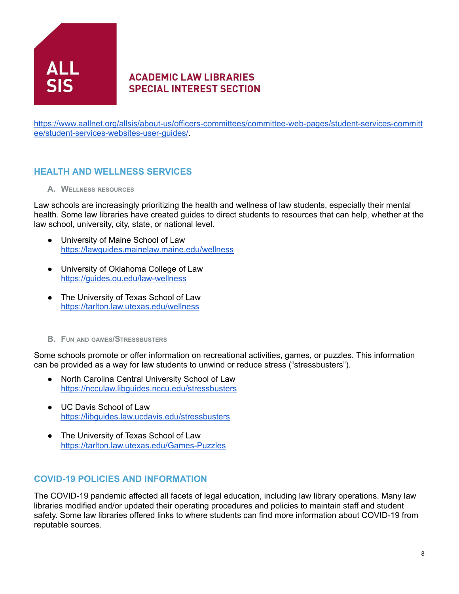

[https://www.aallnet.org/allsis/about-us/officers-committees/committee-web-pages/student-services-committ](https://www.aallnet.org/allsis/about-us/officers-committees/committee-web-pages/student-services-committee/student-services-websites-user-guides/) [ee/student-services-websites-user-guides/](https://www.aallnet.org/allsis/about-us/officers-committees/committee-web-pages/student-services-committee/student-services-websites-user-guides/).

## **HEALTH AND WELLNESS SERVICES**

**A. WELLNESS RESOURCES**

Law schools are increasingly prioritizing the health and wellness of law students, especially their mental health. Some law libraries have created guides to direct students to resources that can help, whether at the law school, university, city, state, or national level.

- University of Maine School of Law <https://lawguides.mainelaw.maine.edu/wellness>
- University of Oklahoma College of Law <https://guides.ou.edu/law-wellness>
- The University of Texas School of Law <https://tarlton.law.utexas.edu/wellness>
- **B. FUN AND GAMES/STRESSBUSTERS**

Some schools promote or offer information on recreational activities, games, or puzzles. This information can be provided as a way for law students to unwind or reduce stress ("stressbusters").

- North Carolina Central University School of Law <https://ncculaw.libguides.nccu.edu/stressbusters>
- UC Davis School of Law <https://libguides.law.ucdavis.edu/stressbusters>
- The University of Texas School of Law <https://tarlton.law.utexas.edu/Games-Puzzles>

#### **COVID-19 POLICIES AND INFORMATION**

The COVID-19 pandemic affected all facets of legal education, including law library operations. Many law libraries modified and/or updated their operating procedures and policies to maintain staff and student safety. Some law libraries offered links to where students can find more information about COVID-19 from reputable sources.